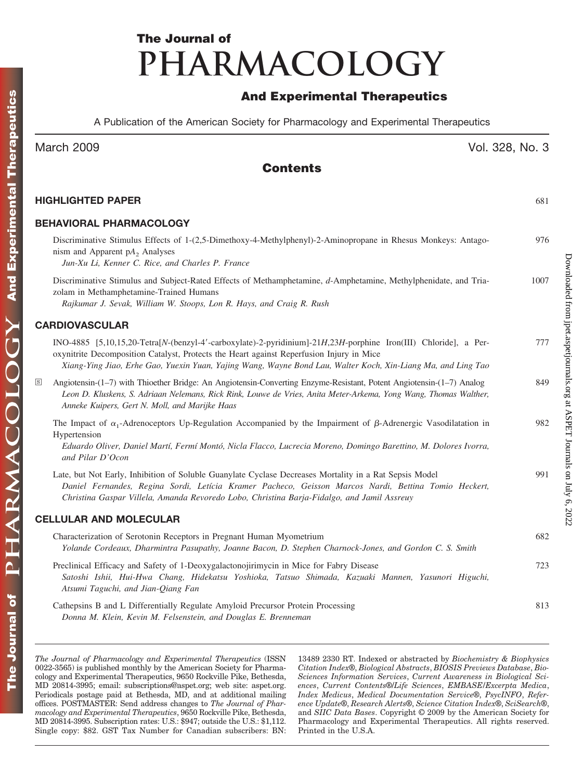# **The Journal of PHARMACOLOGY**

# **And Experimental Therapeutics**

A Publication of the American Society for Pharmacology and Experimental Therapeutics

# March 2009 Vol. 328, No. 3

Downloaded from [jpet.aspetjournals.org](http://jpet.aspetjournals.org/) at ASPET Journals on July 6, 2022

Downloaded from jpet.aspetjournals.org at ASPET Journals on July 6, 2022

# **Contents**

| HIGHLIGHTED PAPER                                                                                                                                                                                                                                                                                                           | 681  |
|-----------------------------------------------------------------------------------------------------------------------------------------------------------------------------------------------------------------------------------------------------------------------------------------------------------------------------|------|
| <b>BEHAVIORAL PHARMACOLOGY</b>                                                                                                                                                                                                                                                                                              |      |
| Discriminative Stimulus Effects of 1-(2,5-Dimethoxy-4-Methylphenyl)-2-Aminopropane in Rhesus Monkeys: Antago-<br>nism and Apparent $pA_2$ Analyses<br>Jun-Xu Li, Kenner C. Rice, and Charles P. France                                                                                                                      | 976  |
| Discriminative Stimulus and Subject-Rated Effects of Methamphetamine, d-Amphetamine, Methylphenidate, and Tria-<br>zolam in Methamphetamine-Trained Humans<br>Rajkumar J. Sevak, William W. Stoops, Lon R. Hays, and Craig R. Rush                                                                                          | 1007 |
| <b>CARDIOVASCULAR</b>                                                                                                                                                                                                                                                                                                       |      |
| INO-4885 [5,10,15,20-Tetra[N-(benzyl-4'-carboxylate)-2-pyridinium]-21H,23H-porphine Iron(III) Chloride], a Per-<br>oxynitrite Decomposition Catalyst, Protects the Heart against Reperfusion Injury in Mice<br>Xiang-Ying Jiao, Erhe Gao, Yuexin Yuan, Yajing Wang, Wayne Bond Lau, Walter Koch, Xin-Liang Ma, and Ling Tao | 777  |
| Angiotensin-(1-7) with Thioether Bridge: An Angiotensin-Converting Enzyme-Resistant, Potent Angiotensin-(1-7) Analog<br>$\boxed{\mathrm{s}}$<br>Leon D. Kluskens, S. Adriaan Nelemans, Rick Rink, Louwe de Vries, Anita Meter-Arkema, Yong Wang, Thomas Walther,<br>Anneke Kuipers, Gert N. Moll, and Marijke Haas          | 849  |
| The Impact of $\alpha_1$ -Adrenoceptors Up-Regulation Accompanied by the Impairment of $\beta$ -Adrenergic Vasodilatation in<br>Hypertension<br>Eduardo Oliver, Daniel Martí, Fermí Montó, Nicla Flacco, Lucrecia Moreno, Domingo Barettino, M. Dolores Ivorra,<br>and Pilar D'Ocon                                         | 982  |
| Late, but Not Early, Inhibition of Soluble Guanylate Cyclase Decreases Mortality in a Rat Sepsis Model<br>Daniel Fernandes, Regina Sordi, Letícia Kramer Pacheco, Geisson Marcos Nardi, Bettina Tomio Heckert,<br>Christina Gaspar Villela, Amanda Revoredo Lobo, Christina Barja-Fidalgo, and Jamil Assreuy                | 991  |
| <b>CELLULAR AND MOLECULAR</b>                                                                                                                                                                                                                                                                                               |      |
| Characterization of Serotonin Receptors in Pregnant Human Myometrium<br>Yolande Cordeaux, Dharmintra Pasupathy, Joanne Bacon, D. Stephen Charnock-Jones, and Gordon C. S. Smith                                                                                                                                             | 682  |
| Preclinical Efficacy and Safety of 1-Deoxygalactonojirimycin in Mice for Fabry Disease<br>Satoshi Ishii, Hui-Hwa Chang, Hidekatsu Yoshioka, Tatsuo Shimada, Kazuaki Mannen, Yasunori Higuchi,<br>Atsumi Taguchi, and Jian-Qiang Fan                                                                                         | 723  |
| Cathepsins B and L Differentially Regulate Amyloid Precursor Protein Processing<br>Donna M. Klein, Kevin M. Felsenstein, and Douglas E. Brenneman                                                                                                                                                                           | 813  |

*The Journal of Pharmacology and Experimental Therapeutics* (ISSN 0022-3565) is published monthly by the American Society for Pharmacology and Experimental Therapeutics, 9650 Rockville Pike, Bethesda, MD 20814-3995; email: subscriptions@aspet.org; web site: aspet.org. Periodicals postage paid at Bethesda, MD, and at additional mailing offices. POSTMASTER: Send address changes to *The Journal of Pharmacology and Experimental Therapeutics*, 9650 Rockville Pike, Bethesda, MD 20814-3995. Subscription rates: U.S.: \$947; outside the U.S.: \$1,112. Single copy: \$82. GST Tax Number for Canadian subscribers: BN: 13489 2330 RT. Indexed or abstracted by *Biochemistry & Biophysics Citation Index*®, *Biological Abstracts*, *BIOSIS Previews Database*, *Bio-Sciences Information Services*, *Current Awareness in Biological Sciences*, *Current Contents*®/*Life Sciences*, *EMBASE/Excerpta Medica*, *Index Medicus*, *Medical Documentation Service*®, *PsycINFO*, *Reference Update*®, *Research Alerts*®, *Science Citation Index*®, *SciSearch*®, and *SIIC Data Bases*. Copyright © 2009 by the American Society for Pharmacology and Experimental Therapeutics. All rights reserved. Printed in the U.S.A.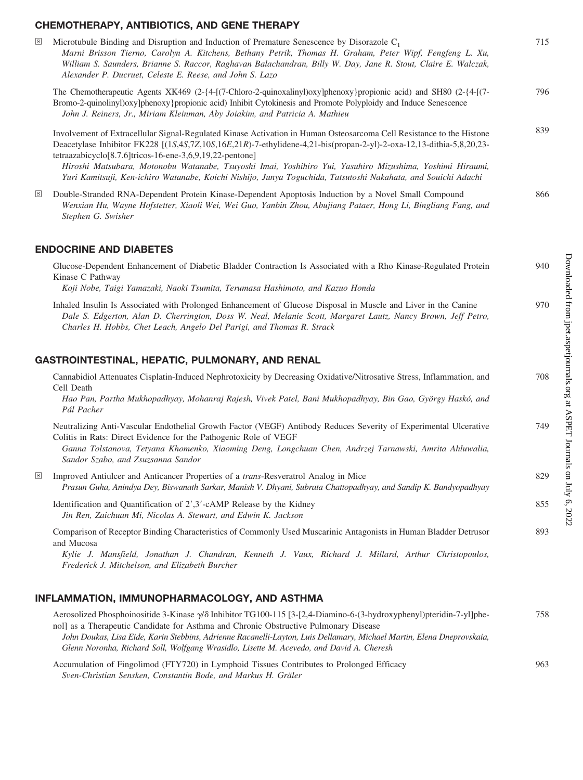### **CHEMOTHERAPY, ANTIBIOTICS, AND GENE THERAPY**

| $\boxed{\mathrm{s}}$ | Microtubule Binding and Disruption and Induction of Premature Senescence by Disorazole $C_1$<br>Marni Brisson Tierno, Carolyn A. Kitchens, Bethany Petrik, Thomas H. Graham, Peter Wipf, Fengfeng L. Xu,<br>William S. Saunders, Brianne S. Raccor, Raghavan Balachandran, Billy W. Day, Jane R. Stout, Claire E. Walczak,<br>Alexander P. Ducruet, Celeste E. Reese, and John S. Lazo                                                                                                                                                | 715 |
|----------------------|---------------------------------------------------------------------------------------------------------------------------------------------------------------------------------------------------------------------------------------------------------------------------------------------------------------------------------------------------------------------------------------------------------------------------------------------------------------------------------------------------------------------------------------|-----|
|                      | The Chemotherapeutic Agents XK469 (2-{4-[(7-Chloro-2-quinoxalinyl)oxy]phenoxy}propionic acid) and SH80 (2-{4-[(7-<br>Bromo-2-quinolinyl) oxylphenoxyl propionic acid) Inhibit Cytokinesis and Promote Polyploidy and Induce Senescence<br>John J. Reiners, Jr., Miriam Kleinman, Aby Joiakim, and Patricia A. Mathieu                                                                                                                                                                                                                 | 796 |
|                      | Involvement of Extracellular Signal-Regulated Kinase Activation in Human Osteosarcoma Cell Resistance to the Histone<br>Deacetylase Inhibitor FK228 [(1S,4S,7Z,10S,16E,21R)-7-ethylidene-4,21-bis(propan-2-yl)-2-oxa-12,13-dithia-5,8,20,23-<br>tetraazabicyclo[8.7.6]tricos-16-ene-3,6,9,19,22-pentone]<br>Hiroshi Matsubara, Motonobu Watanabe, Tsuyoshi Imai, Yoshihiro Yui, Yasuhiro Mizushima, Yoshimi Hiraumi,<br>Yuri Kamitsuji, Ken-ichiro Watanabe, Koichi Nishijo, Junya Toguchida, Tatsutoshi Nakahata, and Souichi Adachi | 839 |
| $\boxed{\text{S}}$   | Double-Stranded RNA-Dependent Protein Kinase-Dependent Apoptosis Induction by a Novel Small Compound<br>Wenxian Hu, Wayne Hofstetter, Xiaoli Wei, Wei Guo, Yanbin Zhou, Abujiang Pataer, Hong Li, Bingliang Fang, and<br>Stephen G. Swisher                                                                                                                                                                                                                                                                                           | 866 |
|                      | <b>ENDOCRINE AND DIABETES</b>                                                                                                                                                                                                                                                                                                                                                                                                                                                                                                         |     |
|                      | Glucose-Dependent Enhancement of Diabetic Bladder Contraction Is Associated with a Rho Kinase-Regulated Protein<br>Kinase C Pathway                                                                                                                                                                                                                                                                                                                                                                                                   | 940 |

*Koji Nobe, Taigi Yamazaki, Naoki Tsumita, Terumasa Hashimoto, and Kazuo Honda*

Inhaled Insulin Is Associated with Prolonged Enhancement of Glucose Disposal in Muscle and Liver in the Canine 970 *Dale S. Edgerton, Alan D. Cherrington, Doss W. Neal, Melanie Scott, Margaret Lautz, Nancy Brown, Jeff Petro, Charles H. Hobbs, Chet Leach, Angelo Del Parigi, and Thomas R. Strack*

### **GASTROINTESTINAL, HEPATIC, PULMONARY, AND RENAL**

|                      | Cannabidiol Attenuates Cisplatin-Induced Nephrotoxicity by Decreasing Oxidative/Nitrosative Stress, Inflammation, and<br>Cell Death                                                                                                    | 708 |
|----------------------|----------------------------------------------------------------------------------------------------------------------------------------------------------------------------------------------------------------------------------------|-----|
|                      | Hao Pan, Partha Mukhopadhyay, Mohanraj Rajesh, Vivek Patel, Bani Mukhopadhyay, Bin Gao, György Haskó, and<br>Pál Pacher                                                                                                                |     |
|                      | Neutralizing Anti-Vascular Endothelial Growth Factor (VEGF) Antibody Reduces Severity of Experimental Ulcerative<br>Colitis in Rats: Direct Evidence for the Pathogenic Role of VEGF                                                   | 749 |
|                      | Ganna Tolstanova, Tetyana Khomenko, Xiaoming Deng, Longchuan Chen, Andrzej Tarnawski, Amrita Ahluwalia,<br>Sandor Szabo, and Zsuzsanna Sandor                                                                                          |     |
| $\boxed{\mathrm{s}}$ | Improved Antiulcer and Anticancer Properties of a <i>trans</i> -Resveratrol Analog in Mice<br>Prasun Guha, Anindya Dey, Biswanath Sarkar, Manish V. Dhyani, Subrata Chattopadhyay, and Sandip K. Bandyopadhyay                         | 829 |
|                      | Identification and Quantification of $2^7,3^7$ -cAMP Release by the Kidney<br>Jin Ren, Zaichuan Mi, Nicolas A. Stewart, and Edwin K. Jackson                                                                                           | 855 |
|                      | Comparison of Receptor Binding Characteristics of Commonly Used Muscarinic Antagonists in Human Bladder Detrusor<br>and Mucosa<br>Kylie J. Mansfield, Jonathan J. Chandran, Kenneth J. Vaux, Richard J. Millard, Arthur Christopoulos, | 893 |

#### **INFLAMMATION, IMMUNOPHARMACOLOGY, AND ASTHMA**

*Frederick J. Mitchelson, and Elizabeth Burcher*

| Aerosolized Phosphoinositide 3-Kinase $\sqrt{\delta}$ Inhibitor TG100-115 [3-[2,4-Diamino-6-(3-hydroxyphenyl)pteridin-7-yl]phe- | 758 |
|---------------------------------------------------------------------------------------------------------------------------------|-----|
| noll as a Therapeutic Candidate for Asthma and Chronic Obstructive Pulmonary Disease                                            |     |
| John Doukas, Lisa Eide, Karin Stebbins, Adrienne Racanelli-Layton, Luis Dellamary, Michael Martin, Elena Dneprovskaia,          |     |
| Glenn Noronha, Richard Soll, Wolfgang Wrasidlo, Lisette M. Acevedo, and David A. Cheresh                                        |     |
| Accumulation of Fingolimod (FTY720) in Lymphoid Tissues Contributes to Prolonged Efficacy                                       | 963 |
| Sven-Christian Sensken, Constantin Bode, and Markus H. Gräler                                                                   |     |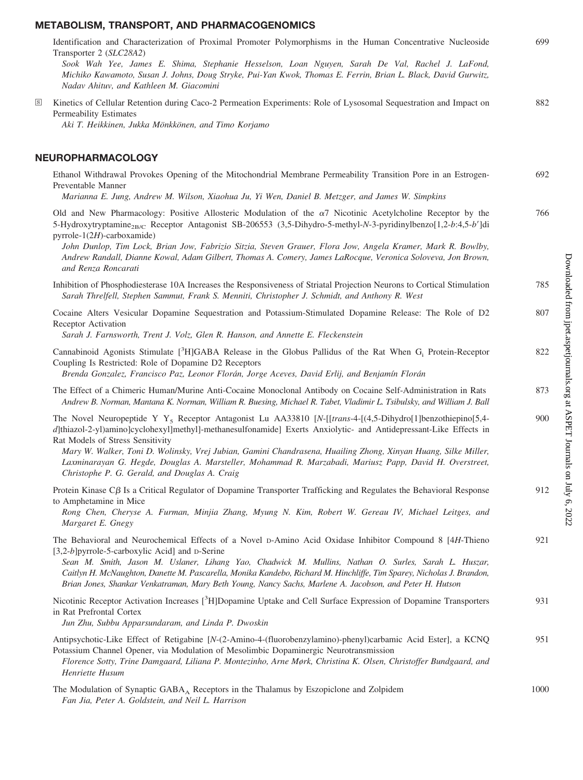# **METABOLISM, TRANSPORT, AND PHARMACOGENOMICS**

|                     | Identification and Characterization of Proximal Promoter Polymorphisms in the Human Concentrative Nucleoside<br>Transporter 2 (SLC28A2)<br>Sook Wah Yee, James E. Shima, Stephanie Hesselson, Loan Nguyen, Sarah De Val, Rachel J. LaFond,<br>Michiko Kawamoto, Susan J. Johns, Doug Stryke, Pui-Yan Kwok, Thomas E. Ferrin, Brian L. Black, David Gurwitz,<br>Nadav Ahituv, and Kathleen M. Giacomini                                                                                                                                                                                                                                  | 699  |
|---------------------|-----------------------------------------------------------------------------------------------------------------------------------------------------------------------------------------------------------------------------------------------------------------------------------------------------------------------------------------------------------------------------------------------------------------------------------------------------------------------------------------------------------------------------------------------------------------------------------------------------------------------------------------|------|
| $\lfloor s \rfloor$ | Kinetics of Cellular Retention during Caco-2 Permeation Experiments: Role of Lysosomal Sequestration and Impact on<br>Permeability Estimates<br>Aki T. Heikkinen, Jukka Mönkkönen, and Timo Korjamo                                                                                                                                                                                                                                                                                                                                                                                                                                     | 882  |
|                     | NEUROPHARMACOLOGY                                                                                                                                                                                                                                                                                                                                                                                                                                                                                                                                                                                                                       |      |
|                     | Ethanol Withdrawal Provokes Opening of the Mitochondrial Membrane Permeability Transition Pore in an Estrogen-<br>Preventable Manner                                                                                                                                                                                                                                                                                                                                                                                                                                                                                                    | 692  |
|                     | Marianna E. Jung, Andrew M. Wilson, Xiaohua Ju, Yi Wen, Daniel B. Metzger, and James W. Simpkins<br>Old and New Pharmacology: Positive Allosteric Modulation of the $\alpha$ 7 Nicotinic Acetylcholine Receptor by the<br>5-Hydroxytryptamine <sub>2B/C</sub> Receptor Antagonist SB-206553 (3,5-Dihydro-5-methyl-N-3-pyridinylbenzo[1,2-b:4,5-b']di<br>pyrrole-1(2H)-carboxamide)<br>John Dunlop, Tim Lock, Brian Jow, Fabrizio Sitzia, Steven Grauer, Flora Jow, Angela Kramer, Mark R. Bowlby,<br>Andrew Randall, Dianne Kowal, Adam Gilbert, Thomas A. Comery, James LaRocque, Veronica Soloveva, Jon Brown,<br>and Renza Roncarati | 766  |
|                     | Inhibition of Phosphodiesterase 10A Increases the Responsiveness of Striatal Projection Neurons to Cortical Stimulation<br>Sarah Threlfell, Stephen Sammut, Frank S. Menniti, Christopher J. Schmidt, and Anthony R. West                                                                                                                                                                                                                                                                                                                                                                                                               | 785  |
|                     | Cocaine Alters Vesicular Dopamine Sequestration and Potassium-Stimulated Dopamine Release: The Role of D2<br>Receptor Activation<br>Sarah J. Farnsworth, Trent J. Volz, Glen R. Hanson, and Annette E. Fleckenstein                                                                                                                                                                                                                                                                                                                                                                                                                     | 807  |
|                     | Cannabinoid Agonists Stimulate [ ${}^{3}H$ ]GABA Release in the Globus Pallidus of the Rat When G <sub>i</sub> Protein-Receptor<br>Coupling Is Restricted: Role of Dopamine D2 Receptors<br>Brenda Gonzalez, Francisco Paz, Leonor Florán, Jorge Aceves, David Erlij, and Benjamín Florán                                                                                                                                                                                                                                                                                                                                               | 822  |
|                     | The Effect of a Chimeric Human/Murine Anti-Cocaine Monoclonal Antibody on Cocaine Self-Administration in Rats<br>Andrew B. Norman, Mantana K. Norman, William R. Buesing, Michael R. Tabet, Vladimir L. Tsibulsky, and William J. Ball                                                                                                                                                                                                                                                                                                                                                                                                  | 873  |
|                     | The Novel Neuropeptide Y Y <sub>5</sub> Receptor Antagonist Lu AA33810 [N-[[trans-4-[(4,5-Dihydro[1]benzothiepino[5,4-<br>d]thiazol-2-yl)amino]cyclohexyl]methyl]-methanesulfonamide] Exerts Anxiolytic- and Antidepressant-Like Effects in<br>Rat Models of Stress Sensitivity<br>Mary W. Walker, Toni D. Wolinsky, Vrej Jubian, Gamini Chandrasena, Huailing Zhong, Xinyan Huang, Silke Miller,<br>Laxminarayan G. Hegde, Douglas A. Marsteller, Mohammad R. Marzabadi, Mariusz Papp, David H. Overstreet,<br>Christophe P. G. Gerald, and Douglas A. Craig                                                                           | 900  |
|                     | Protein Kinase $C\beta$ Is a Critical Regulator of Dopamine Transporter Trafficking and Regulates the Behavioral Response<br>to Amphetamine in Mice<br>Rong Chen, Cheryse A. Furman, Minjia Zhang, Myung N. Kim, Robert W. Gereau IV, Michael Leitges, and<br>Margaret E. Gnegy                                                                                                                                                                                                                                                                                                                                                         | 912  |
|                     | The Behavioral and Neurochemical Effects of a Novel D-Amino Acid Oxidase Inhibitor Compound 8 [4H-Thieno<br>[3,2-b]pyrrole-5-carboxylic Acid] and D-Serine<br>Sean M. Smith, Jason M. Uslaner, Lihang Yao, Chadwick M. Mullins, Nathan O. Surles, Sarah L. Huszar,<br>Caitlyn H. McNaughton, Danette M. Pascarella, Monika Kandebo, Richard M. Hinchliffe, Tim Sparey, Nicholas J. Brandon,<br>Brian Jones, Shankar Venkatraman, Mary Beth Young, Nancy Sachs, Marlene A. Jacobson, and Peter H. Hutson                                                                                                                                 | 921  |
|                     | Nicotinic Receptor Activation Increases [ <sup>3</sup> H]Dopamine Uptake and Cell Surface Expression of Dopamine Transporters<br>in Rat Prefrontal Cortex<br>Jun Zhu, Subbu Apparsundaram, and Linda P. Dwoskin                                                                                                                                                                                                                                                                                                                                                                                                                         | 931  |
|                     | Antipsychotic-Like Effect of Retigabine [N-(2-Amino-4-(fluorobenzylamino)-phenyl)carbamic Acid Ester], a KCNQ<br>Potassium Channel Opener, via Modulation of Mesolimbic Dopaminergic Neurotransmission<br>Florence Sotty, Trine Damgaard, Liliana P. Montezinho, Arne Mørk, Christina K. Olsen, Christoffer Bundgaard, and<br>Henriette Husum                                                                                                                                                                                                                                                                                           | 951  |
|                     | The Modulation of Synaptic $GABA_A$ Receptors in the Thalamus by Eszopiclone and Zolpidem<br>Fan Jia, Peter A. Goldstein, and Neil L. Harrison                                                                                                                                                                                                                                                                                                                                                                                                                                                                                          | 1000 |

Downloaded from ipet.aspetjournals.org at ASPET Journals on July 6, 2022 Downloaded from [jpet.aspetjournals.org](http://jpet.aspetjournals.org/) at ASPET Journals on July 6, 2022